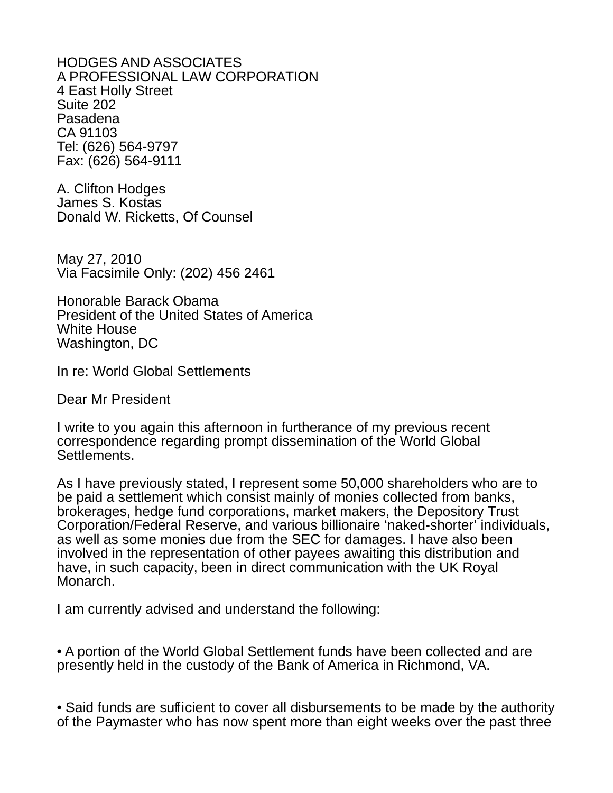HODGES AND ASSOCIATES A PROFESSIONAL LAW CORPORATION 4 East Holly Street Suite 202 Pasadena CA 91103 Tel: (626) 564-9797 Fax: (626) 564-9111

A. Clifton Hodges James S. Kostas Donald W. Ricketts, Of Counsel

May 27, 2010 Via Facsimile Only: (202) 456 2461

Honorable Barack Obama President of the United States of America White House Washington, DC

In re: World Global Settlements

Dear Mr President

I write to you again this afternoon in furtherance of my previous recent correspondence regarding prompt dissemination of the World Global Settlements.

As I have previously stated, I represent some 50,000 shareholders who are to be paid a settlement which consist mainly of monies collected from banks, brokerages, hedge fund corporations, market makers, the Depository Trust Corporation/Federal Reserve, and various billionaire 'naked-shorter' individuals, as well as some monies due from the SEC for damages. I have also been involved in the representation of other payees awaiting this distribution and have, in such capacity, been in direct communication with the UK Royal Monarch.

I am currently advised and understand the following:

• A portion of the World Global Settlement funds have been collected and are presently held in the custody of the Bank of America in Richmond, VA.

• Said funds are sufficient to cover all disbursements to be made by the authority of the Paymaster who has now spent more than eight weeks over the past three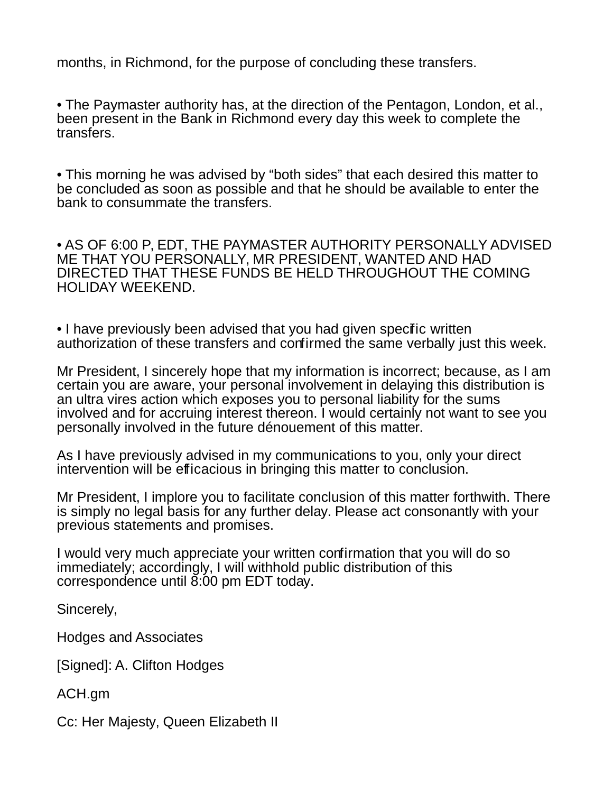months, in Richmond, for the purpose of concluding these transfers.

• The Paymaster authority has, at the direction of the Pentagon, London, et al., been present in the Bank in Richmond every day this week to complete the transfers.

• This morning he was advised by "both sides" that each desired this matter to be concluded as soon as possible and that he should be available to enter the bank to consummate the transfers.

• AS OF 6:00 P, EDT, THE PAYMASTER AUTHORITY PERSONALLY ADVISED ME THAT YOU PERSONALLY, MR PRESIDENT, WANTED AND HAD DIRECTED THAT THESE FUNDS BE HELD THROUGHOUT THE COMING HOLIDAY WEEKEND.

• I have previously been advised that you had given specific written authorization of these transfers and confirmed the same verbally just this week.

Mr President, I sincerely hope that my information is incorrect; because, as I am certain you are aware, your personal involvement in delaying this distribution is an ultra vires action which exposes you to personal liability for the sums involved and for accruing interest thereon. I would certainly not want to see you personally involved in the future dénouement of this matter.

As I have previously advised in my communications to you, only your direct intervention will be efficacious in bringing this matter to conclusion.

Mr President, I implore you to facilitate conclusion of this matter forthwith. There is simply no legal basis for any further delay. Please act consonantly with your previous statements and promises.

I would very much appreciate your written confirmation that you will do so immediately; accordingly, I will withhold public distribution of this correspondence until 8:00 pm EDT today.

Sincerely,

Hodges and Associates

[Signed]: A. Clifton Hodges

ACH.gm

Cc: Her Majesty, Queen Elizabeth II